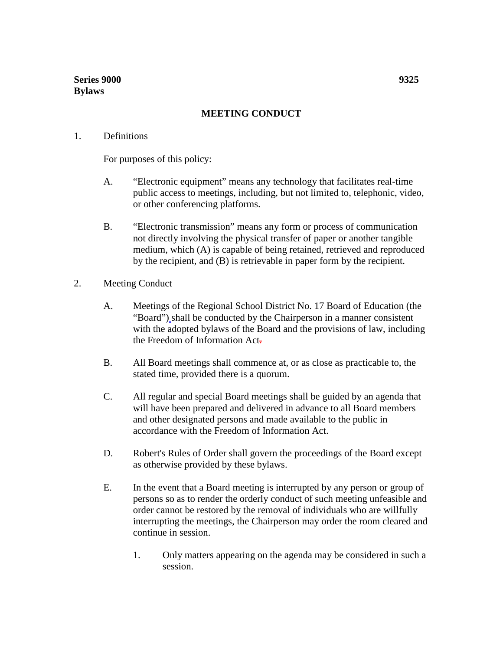## **MEETING CONDUCT**

## 1. Definitions

For purposes of this policy:

- A. "Electronic equipment" means any technology that facilitates real-time public access to meetings, including, but not limited to, telephonic, video, or other conferencing platforms.
- B. "Electronic transmission" means any form or process of communication not directly involving the physical transfer of paper or another tangible medium, which (A) is capable of being retained, retrieved and reproduced by the recipient, and (B) is retrievable in paper form by the recipient.
- 2. Meeting Conduct
	- A. Meetings of the Regional School District No. 17 Board of Education (the "Board") shall be conducted by the Chairperson in a manner consistent with the adopted bylaws of the Board and the provisions of law, including the Freedom of Information Act.
	- B. All Board meetings shall commence at, or as close as practicable to, the stated time, provided there is a quorum.
	- C. All regular and special Board meetings shall be guided by an agenda that will have been prepared and delivered in advance to all Board members and other designated persons and made available to the public in accordance with the Freedom of Information Act.
	- D. Robert's Rules of Order shall govern the proceedings of the Board except as otherwise provided by these bylaws.
	- E. In the event that a Board meeting is interrupted by any person or group of persons so as to render the orderly conduct of such meeting unfeasible and order cannot be restored by the removal of individuals who are willfully interrupting the meetings, the Chairperson may order the room cleared and continue in session.
		- 1. Only matters appearing on the agenda may be considered in such a session.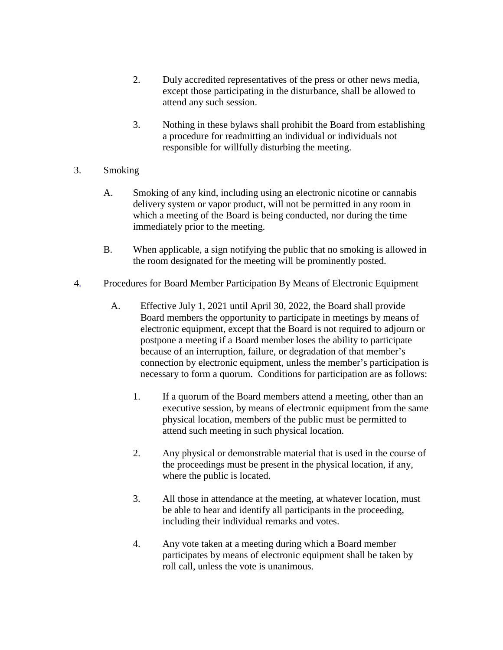- 2. Duly accredited representatives of the press or other news media, except those participating in the disturbance, shall be allowed to attend any such session.
- 3. Nothing in these bylaws shall prohibit the Board from establishing a procedure for readmitting an individual or individuals not responsible for willfully disturbing the meeting.
- 3. Smoking
	- A. Smoking of any kind, including using an electronic nicotine or cannabis delivery system or vapor product, will not be permitted in any room in which a meeting of the Board is being conducted, nor during the time immediately prior to the meeting.
	- B. When applicable, a sign notifying the public that no smoking is allowed in the room designated for the meeting will be prominently posted.
- 4. Procedures for Board Member Participation By Means of Electronic Equipment
	- A. Effective July 1, 2021 until April 30, 2022, the Board shall provide Board members the opportunity to participate in meetings by means of electronic equipment, except that the Board is not required to adjourn or postpone a meeting if a Board member loses the ability to participate because of an interruption, failure, or degradation of that member's connection by electronic equipment, unless the member's participation is necessary to form a quorum. Conditions for participation are as follows:
		- 1. If a quorum of the Board members attend a meeting, other than an executive session, by means of electronic equipment from the same physical location, members of the public must be permitted to attend such meeting in such physical location.
		- 2. Any physical or demonstrable material that is used in the course of the proceedings must be present in the physical location, if any, where the public is located.
		- 3. All those in attendance at the meeting, at whatever location, must be able to hear and identify all participants in the proceeding, including their individual remarks and votes.
		- 4. Any vote taken at a meeting during which a Board member participates by means of electronic equipment shall be taken by roll call, unless the vote is unanimous.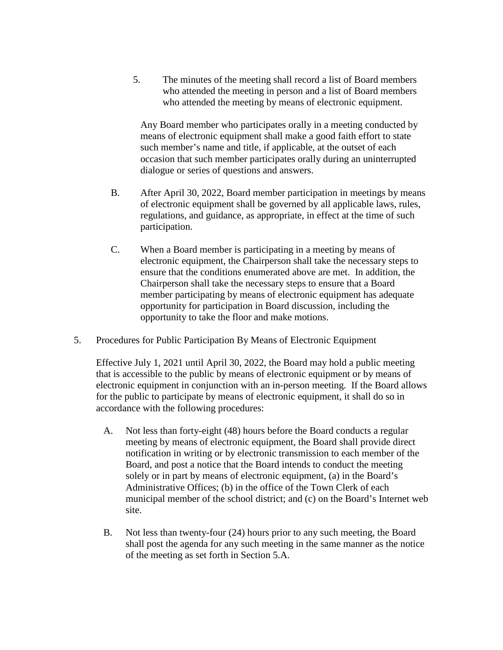5. The minutes of the meeting shall record a list of Board members who attended the meeting in person and a list of Board members who attended the meeting by means of electronic equipment.

Any Board member who participates orally in a meeting conducted by means of electronic equipment shall make a good faith effort to state such member's name and title, if applicable, at the outset of each occasion that such member participates orally during an uninterrupted dialogue or series of questions and answers.

- B. After April 30, 2022, Board member participation in meetings by means of electronic equipment shall be governed by all applicable laws, rules, regulations, and guidance, as appropriate, in effect at the time of such participation.
- C. When a Board member is participating in a meeting by means of electronic equipment, the Chairperson shall take the necessary steps to ensure that the conditions enumerated above are met. In addition, the Chairperson shall take the necessary steps to ensure that a Board member participating by means of electronic equipment has adequate opportunity for participation in Board discussion, including the opportunity to take the floor and make motions.
- 5. Procedures for Public Participation By Means of Electronic Equipment

Effective July 1, 2021 until April 30, 2022, the Board may hold a public meeting that is accessible to the public by means of electronic equipment or by means of electronic equipment in conjunction with an in-person meeting. If the Board allows for the public to participate by means of electronic equipment, it shall do so in accordance with the following procedures:

- A. Not less than forty-eight (48) hours before the Board conducts a regular meeting by means of electronic equipment, the Board shall provide direct notification in writing or by electronic transmission to each member of the Board, and post a notice that the Board intends to conduct the meeting solely or in part by means of electronic equipment, (a) in the Board's Administrative Offices; (b) in the office of the Town Clerk of each municipal member of the school district; and (c) on the Board's Internet web site.
- B. Not less than twenty-four (24) hours prior to any such meeting, the Board shall post the agenda for any such meeting in the same manner as the notice of the meeting as set forth in Section 5.A.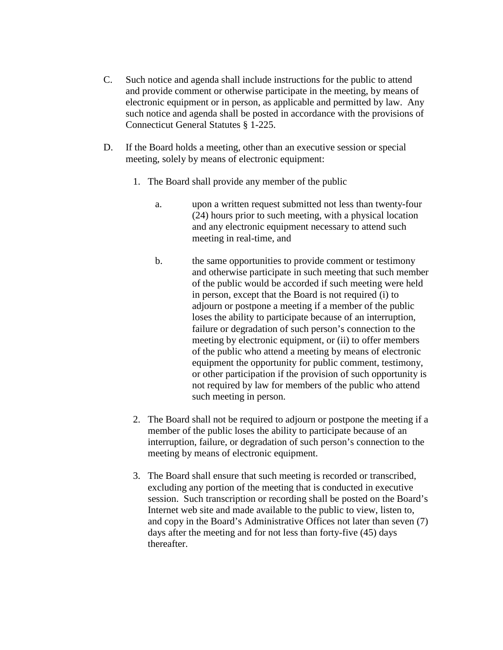- C. Such notice and agenda shall include instructions for the public to attend and provide comment or otherwise participate in the meeting, by means of electronic equipment or in person, as applicable and permitted by law. Any such notice and agenda shall be posted in accordance with the provisions of Connecticut General Statutes § 1-225.
- D. If the Board holds a meeting, other than an executive session or special meeting, solely by means of electronic equipment:
	- 1. The Board shall provide any member of the public
		- a. upon a written request submitted not less than twenty-four (24) hours prior to such meeting, with a physical location and any electronic equipment necessary to attend such meeting in real-time, and
		- b. the same opportunities to provide comment or testimony and otherwise participate in such meeting that such member of the public would be accorded if such meeting were held in person, except that the Board is not required (i) to adjourn or postpone a meeting if a member of the public loses the ability to participate because of an interruption, failure or degradation of such person's connection to the meeting by electronic equipment, or (ii) to offer members of the public who attend a meeting by means of electronic equipment the opportunity for public comment, testimony, or other participation if the provision of such opportunity is not required by law for members of the public who attend such meeting in person.
	- 2. The Board shall not be required to adjourn or postpone the meeting if a member of the public loses the ability to participate because of an interruption, failure, or degradation of such person's connection to the meeting by means of electronic equipment.
	- 3. The Board shall ensure that such meeting is recorded or transcribed, excluding any portion of the meeting that is conducted in executive session. Such transcription or recording shall be posted on the Board's Internet web site and made available to the public to view, listen to, and copy in the Board's Administrative Offices not later than seven (7) days after the meeting and for not less than forty-five (45) days thereafter.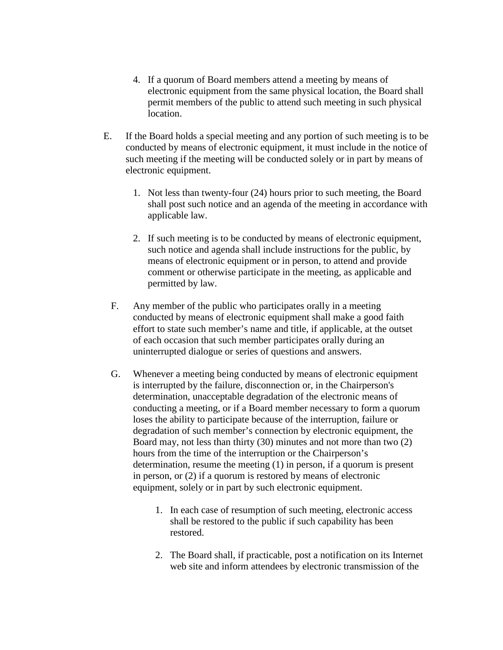- 4. If a quorum of Board members attend a meeting by means of electronic equipment from the same physical location, the Board shall permit members of the public to attend such meeting in such physical location.
- E. If the Board holds a special meeting and any portion of such meeting is to be conducted by means of electronic equipment, it must include in the notice of such meeting if the meeting will be conducted solely or in part by means of electronic equipment.
	- 1. Not less than twenty-four (24) hours prior to such meeting, the Board shall post such notice and an agenda of the meeting in accordance with applicable law.
	- 2. If such meeting is to be conducted by means of electronic equipment, such notice and agenda shall include instructions for the public, by means of electronic equipment or in person, to attend and provide comment or otherwise participate in the meeting, as applicable and permitted by law.
	- F. Any member of the public who participates orally in a meeting conducted by means of electronic equipment shall make a good faith effort to state such member's name and title, if applicable, at the outset of each occasion that such member participates orally during an uninterrupted dialogue or series of questions and answers.
	- G. Whenever a meeting being conducted by means of electronic equipment is interrupted by the failure, disconnection or, in the Chairperson's determination, unacceptable degradation of the electronic means of conducting a meeting, or if a Board member necessary to form a quorum loses the ability to participate because of the interruption, failure or degradation of such member's connection by electronic equipment, the Board may, not less than thirty (30) minutes and not more than two (2) hours from the time of the interruption or the Chairperson's determination, resume the meeting (1) in person, if a quorum is present in person, or (2) if a quorum is restored by means of electronic equipment, solely or in part by such electronic equipment.
		- 1. In each case of resumption of such meeting, electronic access shall be restored to the public if such capability has been restored.
		- 2. The Board shall, if practicable, post a notification on its Internet web site and inform attendees by electronic transmission of the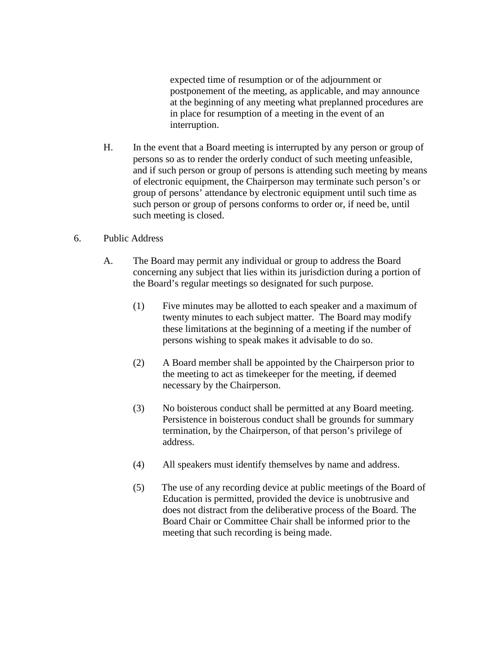expected time of resumption or of the adjournment or postponement of the meeting, as applicable, and may announce at the beginning of any meeting what preplanned procedures are in place for resumption of a meeting in the event of an interruption.

- H. In the event that a Board meeting is interrupted by any person or group of persons so as to render the orderly conduct of such meeting unfeasible, and if such person or group of persons is attending such meeting by means of electronic equipment, the Chairperson may terminate such person's or group of persons' attendance by electronic equipment until such time as such person or group of persons conforms to order or, if need be, until such meeting is closed.
- 6. Public Address
	- A. The Board may permit any individual or group to address the Board concerning any subject that lies within its jurisdiction during a portion of the Board's regular meetings so designated for such purpose.
		- (1) Five minutes may be allotted to each speaker and a maximum of twenty minutes to each subject matter. The Board may modify these limitations at the beginning of a meeting if the number of persons wishing to speak makes it advisable to do so.
		- (2) A Board member shall be appointed by the Chairperson prior to the meeting to act as timekeeper for the meeting, if deemed necessary by the Chairperson.
		- (3) No boisterous conduct shall be permitted at any Board meeting. Persistence in boisterous conduct shall be grounds for summary termination, by the Chairperson, of that person's privilege of address.
		- (4) All speakers must identify themselves by name and address.
		- (5) The use of any recording device at public meetings of the Board of Education is permitted, provided the device is unobtrusive and does not distract from the deliberative process of the Board. The Board Chair or Committee Chair shall be informed prior to the meeting that such recording is being made.